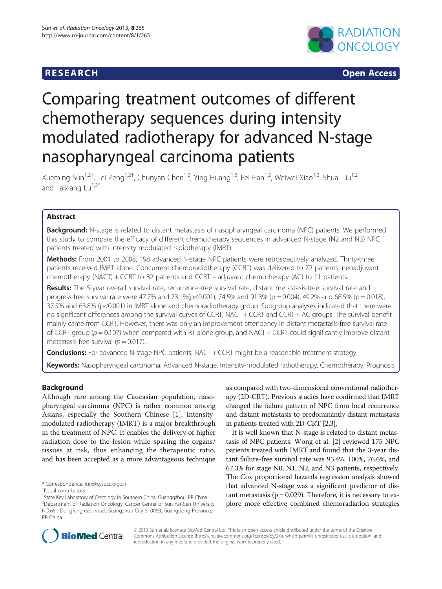## **RESEARCH RESEARCH CONSUMING ACCESS**



# Comparing treatment outcomes of different chemotherapy sequences during intensity modulated radiotherapy for advanced N-stage nasopharyngeal carcinoma patients

Xueming Sun<sup>1,2†</sup>, Lei Zeng<sup>1,2†</sup>, Chunyan Chen<sup>1,2</sup>, Ying Huang<sup>1,2</sup>, Fei Han<sup>1,2</sup>, Weiwei Xiao<sup>1,2</sup>, Shuai Liu<sup>1,2</sup> and Taixiang Lu $^{1,2*}$ 

## Abstract

Background: N-stage is related to distant metastasis of nasopharyngeal carcinoma (NPC) patients. We performed this study to compare the efficacy of different chemotherapy sequences in advanced N-stage (N2 and N3) NPC patients treated with intensity modulated radiotherapy (IMRT).

Methods: From 2001 to 2008, 198 advanced N-stage NPC patients were retrospectively analyzed. Thirty-three patients received IMRT alone. Concurrent chemoradiotherapy (CCRT) was delivered to 72 patients, neoadjuvant chemotherapy (NACT) + CCRT to 82 patients and CCRT + adjuvant chemotherapy (AC) to 11 patients.

Results: The 5-year overall survival rate, recurrence-free survival rate, distant metastasis-free survival rate and progress-free survival rate were 47.7% and 73.1%(p<0.001), 74.5% and 91.3% (p = 0.004), 49.2% and 68.5% (p = 0.018), 37.5% and 63.8% (p<0.001) in IMRT alone and chemoradiotherapy group. Subgroup analyses indicated that there were no significant differences among the survival curves of CCRT, NACT + CCRT and CCRT + AC groups. The survival benefit mainly came from CCRT. However, there was only an improvement attendency in distant metastasis-free survival rate of CCRT group ( $p = 0.107$ ) when compared with RT alone group, and NACT + CCRT could significantly improve distant metastasis-free survival ( $p = 0.017$ ).

**Conclusions:** For advanced N-stage NPC patients, NACT + CCRT might be a reasonable treatment strategy.

Keywords: Nasopharyngeal carcinoma, Advanced N-stage, Intensity-modulated radiotherapy, Chemotherapy, Prognosis

## Background

Although rare among the Caucasian population, nasopharyngeal carcinoma (NPC) is rather common among Asians, especially the Southern Chinese [\[1](#page-7-0)]. Intensitymodulated radiotherapy (IMRT) is a major breakthrough in the treatment of NPC. It enables the delivery of higher radiation dose to the lesion while sparing the organs/ tissues at risk, thus enhancing the therapeutic ratio, and has been accepted as a more advantageous technique

as compared with two-dimensional conventional radiotherapy (2D-CRT). Previous studies have confirmed that IMRT changed the failure pattern of NPC from local recurrence and distant metastasis to predominantly distant metastasis in patients treated with 2D-CRT [\[2,3\]](#page-7-0).

It is well known that N-stage is related to distant metastasis of NPC patients. Wong et al. [\[2\]](#page-7-0) reviewed 175 NPC patients treated with IMRT and found that the 3-year distant failure-free survival rate was 95.4%, 100%, 76.6%, and 67.3% for stage N0, N1, N2, and N3 patients, respectively. The Cox proportional hazards regression analysis showed that advanced N-stage was a significant predictor of distant metastasis ( $p = 0.029$ ). Therefore, it is necessary to explore more effective combined chemoradiation strategies



© 2013 Sun et al.; licensee BioMed Central Ltd. This is an open access article distributed under the terms of the Creative Commons Attribution License [\(http://creativecommons.org/licenses/by/2.0\)](http://creativecommons.org/licenses/by/2.0), which permits unrestricted use, distribution, and reproduction in any medium, provided the original work is properly cited.

<sup>\*</sup> Correspondence: [lutx@sysucc.org.cn](mailto:lutx@sysucc.org.cn) †

Equal contributors

<sup>&</sup>lt;sup>1</sup>State Key Laboratory of Oncology in Southern China, Guanggzhou, PR China 2 Department of Radiation Oncology, Cancer Center of Sun Yat-Sen University, NO.651 Dongfeng east road, Guangzhou City 510060, Guangdong Province, PR China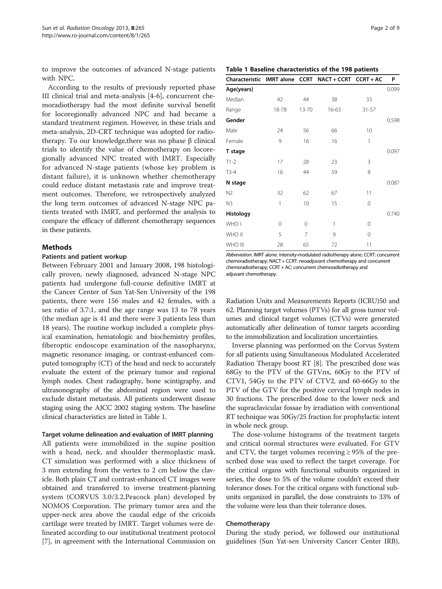to improve the outcomes of advanced N-stage patients with NPC.

According to the results of previously reported phase III clinical trial and meta-analysis [\[4](#page-7-0)-[6\]](#page-7-0), concurrent chemoradiotherapy had the most definite survival benefit for locoregionally advanced NPC and had became a standard treatment regimen. However, in these trials and meta-analysis, 2D-CRT technique was adopted for radiotherapy. To our knowledge,there was no phase β clinical trials to identify the value of chemotherapy on locoregionally advanced NPC treated with IMRT. Especially for advanced N-stage patients (whose key problem is distant failure), it is unknown whether chemotherapy could reduce distant metastasis rate and improve treatment outcomes. Therefore, we retrospectively analyzed the long term outcomes of advanced N-stage NPC patients treated with IMRT, and performed the analysis to compare the efficacy of different chemotherapy sequences in these patients.

#### Methods

#### Patients and patient workup

Between February 2001 and January 2008, 198 histologically proven, newly diagnosed, advanced N-stage NPC patients had undergone full-course definitive IMRT at the Cancer Center of Sun Yat-Sen University of the 198 patients, there were 156 males and 42 females, with a sex ratio of 3.7:1, and the age range was 13 to 78 years (the median age is 41 and there were 3 patients less than 18 years). The routine workup included a complete physical examination, hematologic and biochemistry profiles, fiberoptic endoscope examination of the nasopharynx, magnetic resonance imaging, or contrast-enhanced computed tomography (CT) of the head and neck to accurately evaluate the extent of the primary tumor and regional lymph nodes. Chest radiography, bone scintigraphy, and ultrasonography of the abdominal region were used to exclude distant metastasis. All patients underwent disease staging using the AJCC 2002 staging system. The baseline clinical characteristics are listed in Table 1.

#### Target volume delineation and evaluation of IMRT planning

All patients were immobilized in the supine position with a head, neck, and shoulder thermoplastic mask. CT simulation was performed with a slice thickness of 3 mm extending from the vertex to 2 cm below the clavicle. Both plain CT and contrast-enhanced CT images were obtained and transferred to inverse treatment-planning system (CORVUS 3.0/3.2,Peacock plan) developed by NOMOS Corporation. The primary tumor area and the upper-neck area above the caudal edge of the cricoids cartilage were treated by IMRT. Target volumes were delineated according to our institutional treatment protocol [[7\]](#page-7-0), in agreement with the International Commission on

|  |  |  | Table 1 Baseline characteristics of the 198 patients |  |  |  |  |  |  |
|--|--|--|------------------------------------------------------|--|--|--|--|--|--|
|--|--|--|------------------------------------------------------|--|--|--|--|--|--|

|                |       |                | Characteristic IMRT alone CCRT NACT + CCRT CCRT + AC |           | P     |
|----------------|-------|----------------|------------------------------------------------------|-----------|-------|
| Age(years)     |       |                |                                                      |           | 0.099 |
| Median         | 42    | 44             | 38                                                   | 33        |       |
| Range          | 18-78 | 13-70          | 16-63                                                | $31 - 57$ |       |
| Gender         |       |                |                                                      |           | 0.598 |
| Male           | 24    | 56             | 66                                                   | 10        |       |
| Female         | 9     | 16             | 16                                                   | 1         |       |
| T stage        |       |                |                                                      |           | 0.097 |
| $T1-2$         | 17    | 28             | 23                                                   | 3         |       |
| $T3-4$         | 16    | 44             | 59                                                   | 8         |       |
| N stage        |       |                |                                                      |           | 0.087 |
| N <sub>2</sub> | 32    | 62             | 67                                                   | 11        |       |
| N3             | 1     | 10             | 15                                                   | 0         |       |
| Histology      |       |                |                                                      |           | 0.740 |
| WHO I          | 0     | 0              | 1                                                    | $\Omega$  |       |
| WHO II         | 5     | $\overline{7}$ | 9                                                    | $\Omega$  |       |
| WHO III        | 28    | 65             | 72                                                   | 11        |       |

Abbreviation: IMRT alone: intensity-modulated radiotherapy alone; CCRT: concurrent chemoradiotherapy; NACT + CCRT: neoadjuvant chemotherapy and concurrent chemoradiotherapy; CCRT + AC: concurrent chemoradiotherapy and adjuvant chemotherapy.

Radiation Units and Measurements Reports (ICRU)50 and 62. Planning target volumes (PTVs) for all gross tumor volumes and clinical target volumes (CTVs) were generated automatically after delineation of tumor targets according to the immobilization and localization uncertainties.

Inverse planning was performed on the Corvus System for all patients using Simultaneous Modulated Accelerated Radiation Therapy boost RT [[8](#page-7-0)]. The prescribed dose was 68Gy to the PTV of the GTVnx, 60Gy to the PTV of CTV1, 54Gy to the PTV of CTV2, and 60-66Gy to the PTV of the GTV for the positive cervical lymph nodes in 30 fractions. The prescribed dose to the lower neck and the supraclavicular fossae by irradiation with conventional RT technique was 50Gy/25 fraction for prophylactic intent in whole neck group.

The dose-volume histograms of the treatment targets and critical normal structures were evaluated. For GTV and CTV, the target volumes receiving  $\geq$  95% of the prescribed dose was used to reflect the target coverage. For the critical organs with functional subunits organized in series, the dose to 5% of the volume couldn't exceed their tolerance doses. For the critical organs with functional subunits organized in parallel, the dose constraints to 33% of the volume were less than their tolerance doses.

#### Chemotherapy

During the study period, we followed our institutional guidelines (Sun Yat-sen University Cancer Center IRB),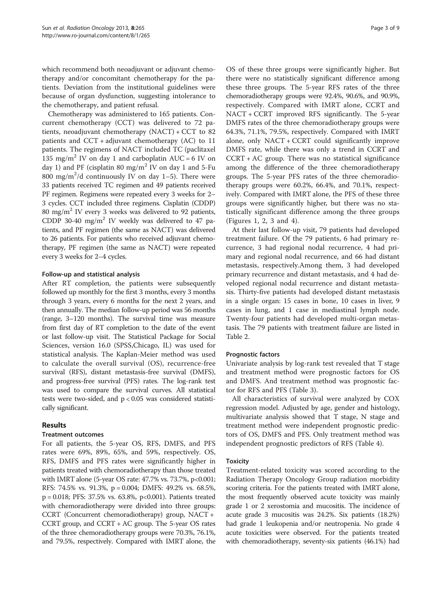which recommend both neoadjuvant or adjuvant chemotherapy and/or concomitant chemotherapy for the patients. Deviation from the institutional guidelines were because of organ dysfunction, suggesting intolerance to the chemotherapy, and patient refusal.

Chemotherapy was administered to 165 patients. Concurrent chemotherapy (CCT) was delivered to 72 patients, neoadjuvant chemotherapy (NACT) + CCT to 82 patients and  $CCT +$  adjuvant chemotherapy (AC) to 11 patients. The regimens of NACT included TC (paclitaxel 135 mg/m<sup>2</sup> IV on day 1 and carboplatin AUC = 6 IV on day 1) and PF (cisplatin 80 mg/m<sup>2</sup> IV on day 1 and 5-Fu 800 mg/m<sup>2</sup>/d continuously IV on day 1-5). There were 33 patients received TC regimen and 49 patients received PF regimen. Regimens were repeated every 3 weeks for 2– 3 cycles. CCT included three regimens. Cisplatin (CDDP) 80 mg/m<sup>2</sup> IV every 3 weeks was delivered to 92 patients, CDDP 30-40 mg/m<sup>2</sup> IV weekly was delivered to 47 patients, and PF regimen (the same as NACT) was delivered to 26 patients. For patients who received adjuvant chemotherapy, PF regimen (the same as NACT) were repeated every 3 weeks for 2–4 cycles.

### Follow-up and statistical analysis

After RT completion, the patients were subsequently followed up monthly for the first 3 months, every 3 months through 3 years, every 6 months for the next 2 years, and then annually. The median follow-up period was 56 months (range, 3–120 months). The survival time was measure from first day of RT completion to the date of the event or last follow-up visit. The Statistical Package for Social Sciences, version 16.0 (SPSS,Chicago, IL) was used for statistical analysis. The Kaplan-Meier method was used to calculate the overall survival (OS), recurrence-free survival (RFS), distant metastasis-free survival (DMFS), and progress-free survival (PFS) rates. The log-rank test was used to compare the survival curves. All statistical tests were two-sided, and p < 0.05 was considered statistically significant.

## Results

#### Treatment outcomes

For all patients, the 5-year OS, RFS, DMFS, and PFS rates were 69%, 89%, 65%, and 59%, respectively. OS, RFS, DMFS and PFS rates were significantly higher in patients treated with chemoradiotherapy than those treated with IMRT alone (5-year OS rate: 47.7% vs. 73.7%, p<0.001; RFS: 74.5% vs. 91.3%, p = 0.004; DMFS: 49.2% vs. 68.5%, p = 0.018; PFS: 37.5% vs. 63.8%, p<0.001). Patients treated with chemoradiotherapy were divided into three groups: CCRT (Concurrent chemoradiotherapy) group, NACT + CCRT group, and CCRT + AC group. The 5-year OS rates of the three chemoradiotherapy groups were 70.3%, 76.1%, and 79.5%, respectively. Compared with IMRT alone, the

OS of these three groups were significantly higher. But there were no statistically significant difference among these three groups. The 5-year RFS rates of the three chemoradiotherapy groups were 92.4%, 90.6%, and 90.9%, respectively. Compared with IMRT alone, CCRT and NACT + CCRT improved RFS significantly. The 5-year DMFS rates of the three chemoradiotherapy groups were 64.3%, 71.1%, 79.5%, respectively. Compared with IMRT alone, only NACT + CCRT could significantly improve DMFS rate, while there was only a trend in CCRT and  $CCRT + AC$  group. There was no statistical significance among the difference of the three chemoradiotherapy groups. The 5-year PFS rates of the three chemoradiotherapy groups were 60.2%, 66.4%, and 70.1%, respectively. Compared with IMRT alone, the PFS of these three groups were significantly higher, but there was no statistically significant difference among the three groups (Figures [1](#page-3-0), [2](#page-3-0), [3](#page-4-0) and [4\)](#page-4-0).

At their last follow-up visit, 79 patients had developed treatment failure. Of the 79 patients, 6 had primary recurrence, 3 had regional nodal recurrence, 4 had primary and regional nodal recurrence, and 66 had distant metastasis, respectively.Among them, 3 had developed primary recurrence and distant metastasis, and 4 had developed regional nodal recurrence and distant metastasis. Thirty-five patients had developed distant metastasis in a single organ: 15 cases in bone, 10 cases in liver, 9 cases in lung, and 1 case in mediastinal lymph node. Twenty-four patients had developed multi-organ metastasis. The 79 patients with treatment failure are listed in Table [2](#page-5-0).

## Prognostic factors

Univariate analysis by log-rank test revealed that T stage and treatment method were prognostic factors for OS and DMFS. And treatment method was prognostic factor for RFS and PFS (Table [3](#page-5-0)).

All characteristics of survival were analyzed by COX regression model. Adjusted by age, gender and histology, multivariate analysis showed that T stage, N stage and treatment method were independent prognostic predictors of OS, DMFS and PFS. Only treatment method was independent prognostic predictors of RFS (Table [4\)](#page-5-0).

## **Toxicity**

Treatment-related toxicity was scored according to the Radiation Therapy Oncology Group radiation morbidity scoring criteria. For the patients treated with IMRT alone, the most frequently observed acute toxicity was mainly grade 1 or 2 xerostomia and mucositis. The incidence of acute grade 3 mucositis was 24.2%. Six patients (18.2%) had grade 1 leukopenia and/or neutropenia. No grade 4 acute toxicities were observed. For the patients treated with chemoradiotherapy, seventy-six patients (46.1%) had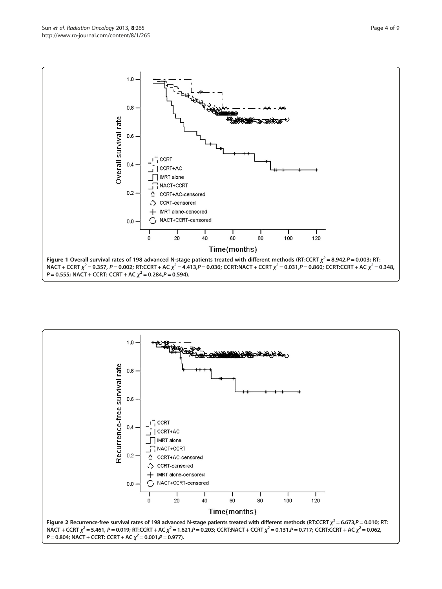<span id="page-3-0"></span>

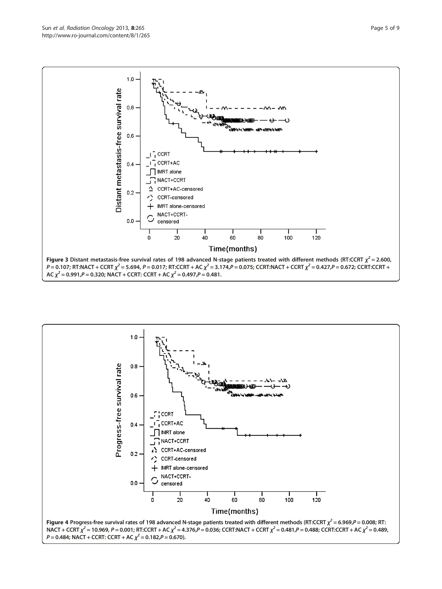<span id="page-4-0"></span>

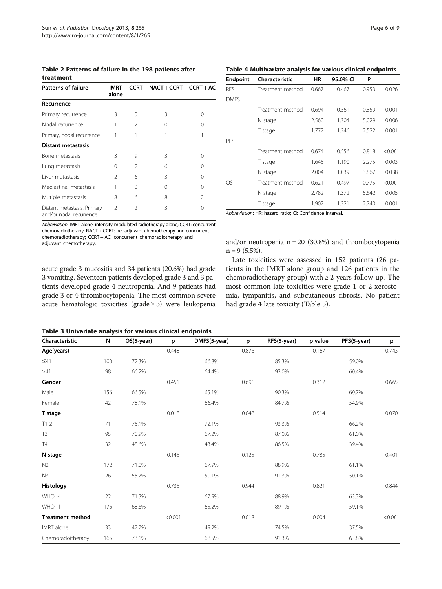<span id="page-5-0"></span>Table 2 Patterns of failure in the 198 patients after treatment

| <b>Patterns of failure</b>                             | <b>IMRT</b><br>alone | <b>CCRT</b>    | $NACT + CCRT$ $CCRT + AC$ |                |
|--------------------------------------------------------|----------------------|----------------|---------------------------|----------------|
| Recurrence                                             |                      |                |                           |                |
| Primary recurrence                                     | 3                    | Ω              | 3                         | Ω              |
| Nodal recurrence                                       |                      | 2              | Ω                         | 0              |
| Primary, nodal recurrence                              |                      | 1              |                           |                |
| <b>Distant metastasis</b>                              |                      |                |                           |                |
| Bone metastasis                                        | ζ                    | 9              | ζ                         | Ω              |
| Lung metastasis                                        | ∩                    | $\mathfrak{D}$ | 6                         | Λ              |
| Liver metastasis                                       | $\mathfrak{D}$       | 6              | 3                         | 0              |
| Mediastinal metastasis                                 |                      | Ω              | Ω                         | 0              |
| Mutiple metastasis                                     | 8                    | 6              | 8                         | $\mathfrak{D}$ |
| Distant metastasis, Primary<br>and/or nodal recurrence | $\mathfrak{D}$       | $\mathfrak{D}$ | 3                         | 0              |

Abbreviation: IMRT alone: intensity-modulated radiotherapy alone; CCRT: concurrent chemoradiotherapy, NACT + CCRT: neoadjuvant chemotherapy and concurrent chemoradiotherapy; CCRT + AC: concurrent chemoradiotherapy and adjuvant chemotherapy.

acute grade 3 mucositis and 34 patients (20.6%) had grade 3 vomiting. Seventeen patients developed grade 3 and 3 patients developed grade 4 neutropenia. And 9 patients had grade 3 or 4 thrombocytopenia. The most common severe acute hematologic toxicities (grade ≥ 3) were leukopenia

Table 4 Multivariate analysis for various clinical endpoints

| <b>Endpoint</b> | Characteristic   | HR    | 95.0% CI | P     |         |
|-----------------|------------------|-------|----------|-------|---------|
| RFS             | Treatment method | 0.667 | 0.467    | 0.953 | 0.026   |
| <b>DMES</b>     |                  |       |          |       |         |
|                 | Treatment method | 0.694 | 0.561    | 0.859 | 0.001   |
|                 | N stage          | 2.560 | 1.304    | 5.029 | 0.006   |
|                 | T stage          | 1.772 | 1.246    | 2.522 | 0.001   |
| PFS             |                  |       |          |       |         |
|                 | Treatment method | 0.674 | 0.556    | 0.818 | < 0.001 |
|                 | T stage          | 1.645 | 1.190    | 2.275 | 0.003   |
|                 | N stage          | 2.004 | 1.039    | 3.867 | 0.038   |
| OS              | Treatment method | 0.621 | 0.497    | 0.775 | < 0.001 |
|                 | N stage          | 2.782 | 1.372    | 5.642 | 0.005   |
|                 | T stage          | 1.902 | 1.321    | 2.740 | 0.001   |
|                 |                  |       |          |       |         |

Abbreviation: HR: hazard ratio; CI: Confidence interval.

and/or neutropenia n = 20 (30.8%) and thrombocytopenia  $n = 9$  (5.5%).

Late toxicities were assessed in 152 patients (26 patients in the IMRT alone group and 126 patients in the chemoradiotherapy group) with  $\geq 2$  years follow up. The most common late toxicities were grade 1 or 2 xerostomia, tympanitis, and subcutaneous fibrosis. No patient had grade 4 late toxicity (Table [5\)](#page-6-0).

Table 3 Univariate analysis for various clinical endpoints

| Characteristic          | N   | OS(5-year) | p       | DMFS(5-year) | p     | RFS(5-year) | p value | PFS(5-year) | p       |
|-------------------------|-----|------------|---------|--------------|-------|-------------|---------|-------------|---------|
| Age(years)              |     |            | 0.448   |              | 0.876 |             | 0.167   |             | 0.743   |
| $\leq 41$               | 100 | 72.3%      |         | 66.8%        |       | 85.3%       |         | 59.0%       |         |
| >41                     | 98  | 66.2%      |         | 64.4%        |       | 93.0%       |         | 60.4%       |         |
| Gender                  |     |            | 0.451   |              | 0.691 |             | 0.312   |             | 0.665   |
| Male                    | 156 | 66.5%      |         | 65.1%        |       | 90.3%       |         | 60.7%       |         |
| Female                  | 42  | 78.1%      |         | 66.4%        |       | 84.7%       |         | 54.9%       |         |
| T stage                 |     |            | 0.018   |              | 0.048 |             | 0.514   |             | 0.070   |
| $T1-2$                  | 71  | 75.1%      |         | 72.1%        |       | 93.3%       |         | 66.2%       |         |
| T3                      | 95  | 70.9%      |         | 67.2%        |       | 87.0%       |         | 61.0%       |         |
| T4                      | 32  | 48.6%      |         | 43.4%        |       | 86.5%       |         | 39.4%       |         |
| N stage                 |     |            | 0.145   |              | 0.125 |             | 0.785   |             | 0.401   |
| N <sub>2</sub>          | 172 | 71.0%      |         | 67.9%        |       | 88.9%       |         | 61.1%       |         |
| N3                      | 26  | 55.7%      |         | 50.1%        |       | 91.3%       |         | 50.1%       |         |
| Histology               |     |            | 0.735   |              | 0.944 |             | 0.821   |             | 0.844   |
| WHO I-II                | 22  | 71.3%      |         | 67.9%        |       | 88.9%       |         | 63.3%       |         |
| WHO III                 | 176 | 68.6%      |         | 65.2%        |       | 89.1%       |         | 59.1%       |         |
| <b>Treatment method</b> |     |            | < 0.001 |              | 0.018 |             | 0.004   |             | < 0.001 |
| IMRT alone              | 33  | 47.7%      |         | 49.2%        |       | 74.5%       |         | 37.5%       |         |
| Chemoradoitherapy       | 165 | 73.1%      |         | 68.5%        |       | 91.3%       |         | 63.8%       |         |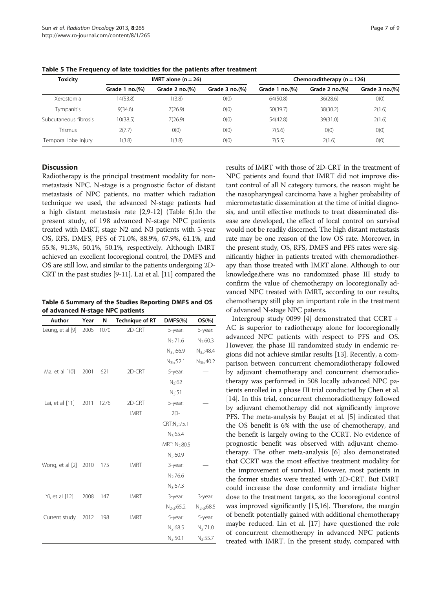| <b>Toxicity</b>       |                  | IMRT alone $(n = 26)$               |                     | Chemoraditherapy $(n = 126)$ |                           |                     |
|-----------------------|------------------|-------------------------------------|---------------------|------------------------------|---------------------------|---------------------|
|                       | Grade 1 $no.(%)$ | Grade $2 \text{ no.}$ $\frac{9}{6}$ | Grade $3$ no. $(%)$ | Grade 1 $no.(%)$             | Grade $2 \text{ no.}(\%)$ | Grade $3$ no. $(%)$ |
| Xerostomia            | 14(53.8)         | 1(3.8)                              | O(0)                | 64(50.8)                     | 36(28.6)                  | O(0)                |
| <b>Tympanitis</b>     | 9(34.6)          | 7(26.9)                             | O(0)                | 50(39.7)                     | 38(30.2)                  | 2(1.6)              |
| Subcutaneous fibrosis | 10(38.5)         | 7(26.9)                             | O(0)                | 54(42.8)                     | 39(31.0)                  | 2(1.6)              |
| Trismus               | 2(7.7)           | O(0)                                | O(0)                | 7(5.6)                       | O(0)                      | O(0)                |
| Temporal lobe injury  | (3.8)            | 1(3.8)                              | O(0)                | 7(5.5)                       | 2(1.6)                    | O(0)                |

<span id="page-6-0"></span>Table 5 The Frequency of late toxicities for the patients after treatment

#### **Discussion**

Radiotherapy is the principal treatment modality for nonmetastasis NPC. N-stage is a prognostic factor of distant metastasis of NPC patients, no matter which radiation technique we used, the advanced N-stage patients had a high distant metastasis rate [\[2,](#page-7-0)[9-12\]](#page-8-0) (Table 6).In the present study, of 198 advanced N-stage NPC patients treated with IMRT, stage N2 and N3 patients with 5-year OS, RFS, DMFS, PFS of 71.0%, 88.9%, 67.9%, 61.1%, and 55.%, 91.3%, 50.1%, 50.1%, respectively. Although IMRT achieved an excellent locoregional control, the DMFS and OS are still low, and similar to the patients undergoing 2D-CRT in the past studies [[9](#page-8-0)-[11](#page-8-0)]. Lai et al. [\[11](#page-8-0)] compared the

Table 6 Summary of the Studies Reporting DMFS and OS of advanced N-stage NPC patients

| Author           | Year | N    | <b>Technique of RT</b> | DMFS(%)                    | $OS(\% )$             |
|------------------|------|------|------------------------|----------------------------|-----------------------|
| Leung, et al [9] | 2005 | 1070 | 2D-CRT                 | 5-year:                    | 5-year:               |
|                  |      |      |                        | $N_2:71.6$                 | $N_2:60.3$            |
|                  |      |      |                        | N <sub>3a</sub> :66.9      | N <sub>3a</sub> :48.4 |
|                  |      |      |                        | $N_{3b}$ :52.1             | N <sub>3b</sub> :40.2 |
| Ma, et al [10]   | 2001 | 621  | 2D-CRT                 | 5-year:                    |                       |
|                  |      |      |                        | N <sub>2</sub> :62         |                       |
|                  |      |      |                        | $N_3:51$                   |                       |
| Lai, et al [11]  | 2011 | 1276 | 2D-CRT                 | 5-year:                    |                       |
|                  |      |      | <b>IMRT</b>            | $2D-$                      |                       |
|                  |      |      |                        | CRT:N <sub>2</sub> :75.1   |                       |
|                  |      |      |                        | $N_3:65.4$                 |                       |
|                  |      |      |                        | IMRT: N <sub>2</sub> :80.5 |                       |
|                  |      |      |                        | $N_3:60.9$                 |                       |
| Wong, et al [2]  | 2010 | 175  | <b>IMRT</b>            | 3-year:                    |                       |
|                  |      |      |                        | $N_2:76.6$                 |                       |
|                  |      |      |                        | $N_3:67.3$                 |                       |
| Yi, et al [12]   | 2008 | 147  | <b>IMRT</b>            | 3-year:                    | 3-year:               |
|                  |      |      |                        | $N_{2-3}:65.2$             | $N_{2-3}:68.5$        |
| Current study    | 2012 | 198  | <b>IMRT</b>            | 5-year:                    | 5-year:               |
|                  |      |      |                        | $N_2:68.5$                 | $N_2:71.0$            |
|                  |      |      |                        | $N_3:50.1$                 | $N_3:55.7$            |

results of IMRT with those of 2D-CRT in the treatment of NPC patients and found that IMRT did not improve distant control of all N category tumors, the reason might be the nasopharyngeal carcinoma have a higher probability of micrometastatic dissemination at the time of initial diagnosis, and until effective methods to treat disseminated disease are developed, the effect of local control on survival would not be readily discerned. The high distant metastasis rate may be one reason of the low OS rate. Moreover, in the present study, OS, RFS, DMFS and PFS rates were significantly higher in patients treated with chemoradiotherapy than those treated with IMRT alone. Although to our knowledge,there was no randomized phase III study to confirm the value of chemotherapy on locoregionally advanced NPC treated with IMRT, according to our results, chemotherapy still play an important role in the treatment of advanced N-stage NPC patents.

Intergroup study 0099 [\[4](#page-7-0)] demonstrated that CCRT + AC is superior to radiotherapy alone for locoregionally advanced NPC patients with respect to PFS and OS. However, the phase III randomized study in endemic regions did not achieve similar results [\[13\]](#page-8-0). Recently, a comparison between concurrent chemoradiotherapy followed by adjuvant chemotherapy and concurrent chemoradiotherapy was performed in 508 locally advanced NPC patients enrolled in a phase III trial conducted by Chen et al. [[14](#page-8-0)]. In this trial, concurrent chemoradiotherapy followed by adjuvant chemotherapy did not significantly improve PFS. The meta-analysis by Baujat et al. [\[5](#page-7-0)] indicated that the OS benefit is 6% with the use of chemotherapy, and the benefit is largely owing to the CCRT. No evidence of prognostic benefit was observed with adjuvant chemotherapy. The other meta-analysis [\[6](#page-7-0)] also demonstrated that CCRT was the most effective treatment modality for the improvement of survival. However, most patients in the former studies were treated with 2D-CRT. But IMRT could increase the dose conformity and irradiate higher dose to the treatment targets, so the locoregional control was improved significantly [\[15,16](#page-8-0)]. Therefore, the margin of benefit potentially gained with additional chemotherapy maybe reduced. Lin et al. [[17](#page-8-0)] have questioned the role of concurrent chemotherapy in advanced NPC patients treated with IMRT. In the present study, compared with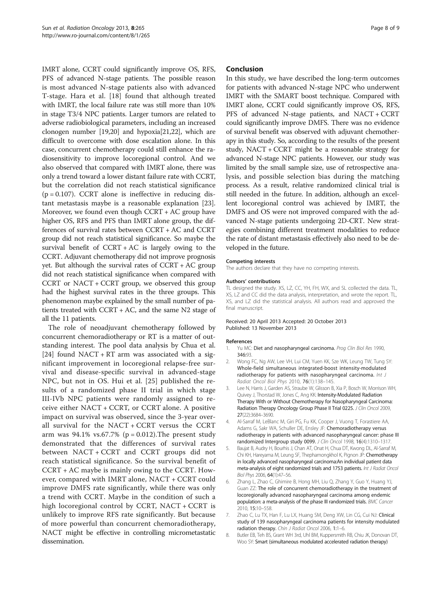<span id="page-7-0"></span>IMRT alone, CCRT could significantly improve OS, RFS, PFS of advanced N-stage patients. The possible reason is most advanced N-stage patients also with advanced T-stage. Hara et al. [\[18\]](#page-8-0) found that although treated with IMRT, the local failure rate was still more than 10% in stage T3/4 NPC patients. Larger tumors are related to adverse radiobiological parameters, including an increased clonogen number [[19,20\]](#page-8-0) and hypoxia[\[21,22](#page-8-0)], which are difficult to overcome with dose escalation alone. In this case, concurrent chemotherapy could still enhance the radiosensitivity to improve locoregional control. And we also observed that compared with IMRT alone, there was only a trend toward a lower distant failure rate with CCRT, but the correlation did not reach statistical significance  $(p = 0.107)$ . CCRT alone is ineffective in reducing distant metastasis maybe is a reasonable explanation [\[23](#page-8-0)]. Moreover, we found even though CCRT + AC group have higher OS, RFS and PFS than IMRT alone group, the differences of survival rates between CCRT + AC and CCRT group did not reach statistical significance. So maybe the survival benefit of  $CCRT + AC$  is largely owing to the CCRT. Adjuvant chemotherapy did not improve prognosis yet. But although the survival rates of CCRT + AC group did not reach statistical significance when compared with CCRT or NACT + CCRT group, we observed this group had the highest survival rates in the three groups. This phenomenon maybe explained by the small number of patients treated with  $CCRT + AC$ , and the same N2 stage of all the 11 patients.

The role of neoadjuvant chemotherapy followed by concurrent chemoradiotherapy or RT is a matter of outstanding interest. The pool data analysis by Chua et al. [[24\]](#page-8-0) found NACT + RT arm was associated with a significant improvement in locoregional relapse-free survival and disease-specific survival in advanced-stage NPC, but not in OS. Hui et al. [\[25](#page-8-0)] published the results of a randomized phase II trial in which stage III-IVb NPC patients were randomly assigned to receive either NACT + CCRT, or CCRT alone. A positive impact on survival was observed, since the 3-year overall survival for the NACT + CCRT versus the CCRT arm was  $94.1\%$  vs.67.7% (p = 0.012). The present study demonstrated that the differences of survival rates between NACT + CCRT and CCRT groups did not reach statistical significance. So the survival benefit of CCRT + AC maybe is mainly owing to the CCRT. However, compared with IMRT alone, NACT + CCRT could improve DMFS rate significantly, while there was only a trend with CCRT. Maybe in the condition of such a high locoregional control by CCRT, NACT + CCRT is unlikely to improve RFS rate significantly. But because of more powerful than concurrent chemoradiotherapy, NACT might be effective in controlling micrometastatic dissemination.

## Conclusion

In this study, we have described the long-term outcomes for patients with advanced N-stage NPC who underwent IMRT with the SMART boost technique. Compared with IMRT alone, CCRT could significantly improve OS, RFS, PFS of advanced N-stage patients, and NACT + CCRT could significantly improve DMFS. There was no evidence of survival benefit was observed with adjuvant chemotherapy in this study. So, according to the results of the present study, NACT + CCRT might be a reasonable strategy for advanced N-stage NPC patients. However, our study was limited by the small sample size, use of retrospective analysis, and possible selection bias during the matching process. As a result, relative randomized clinical trial is still needed in the future. In addition, although an excellent locoregional control was achieved by IMRT, the DMFS and OS were not improved compared with the advanced N-stage patients undergoing 2D-CRT. New strategies combining different treatment modalities to reduce the rate of distant metastasis effectively also need to be developed in the future.

#### Competing interests

The authors declare that they have no competing interests.

#### Authors' contributions

TL designed the study. XS, LZ, CC, YH, FH, WX, and SL collected the data. TL, XS, LZ and CC did the data analysis, interpretation, and wrote the report. TL, XS, and LZ did the statistical analysis. All authors read and approved the final manuscript.

#### Received: 20 April 2013 Accepted: 20 October 2013 Published: 13 November 2013

#### References

- 1. Yu MC: Diet and nasopharyngeal carcinoma. Prog Clin Biol Res 1990, 346:93.
- 2. Wong FC, Ng AW, Lee VH, Lui CM, Yuen KK, Sze WK, Leung TW, Tung SY: Whole-field simultaneous integrated-boost intensity-modulated radiotherapy for patients with nasopharyngeal carcinoma. Int J Radiat Oncol Biol Phys 2010, 76(1):138–145.
- 3. Lee N, Harris J, Garden AS, Straube W, Glisson B, Xia P, Bosch W, Morrison WH, Quivey J, Thorstad W, Jones C, Ang KK: Intensity-Modulated Radiation Therapy With or Without Chemotherapy for Nasopharyngeal Carcinoma: Radiation Therapy Oncology Group Phase II Trial 0225. J Clin Oncol 2009, 27(22):3684–3690.
- 4. Al-Sarraf M, LeBlanc M, Giri PG, Fu KK, Cooper J, Vuong T, Forastiere AA, Adams G, Sakr WA, Schuller DE, Ensley JF: Chemoradiotherapy versus radiotherapy in patients with advanced nasopharyngeal cancer: phase III randomized Intergroup study 0099. J Clin Oncol 1998, 16(4):1310–1317.
- 5. Baujat B, Audry H, Bourhis J, Chan AT, Onat H, Chua DT, Kwong DL, Al-Sarraf M, Chi KH, Hareyama M, Leung SF, Thephamongkhol K, Pignon JP: Chemotherapy in locally advanced nasopharyngeal carcinoma:An individual patient data meta-analysis of eight randomized trials and 1753 patients. Int J Radiat Oncol Biol Phys 2006, 64(1):47–56.
- Zhang L, Zhao C, Ghimire B, Hong MH, Liu Q, Zhang Y, Guo Y, Huang YJ, Guan ZZ: The role of concurrent chemoradiotherapy in the treatment of locoregionally advanced nasopharyngeal carcinoma among endemic population: a meta-analysis of the phase III randomized trials. BMC Cancer 2010, 15:10–558.
- 7. Zhao C, Lu TX, Han F, Lu LX, Huang SM, Deng XW, Lin CG, Cui NJ: Clinical study of 139 nasopharyngeal carcinoma patients for intensity modulated radiation therapy. Chin J Radiat Oncol 2006, 1:1–6.
- 8. Butler EB, Teh BS, Grant WH 3rd, Uhl BM, Kuppersmith RB, Chiu JK, Donovan DT, Woo SY: Smart (simultaneous modulated accelerated radiation therapy)